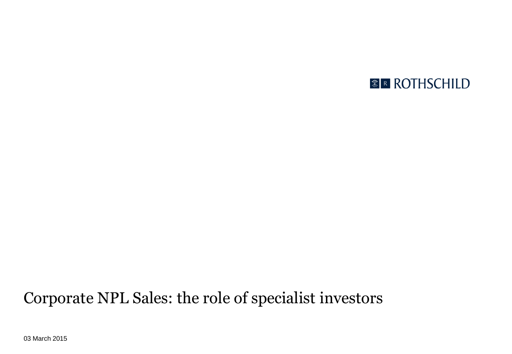### *<b>E* ROTHSCHILD

### Corporate NPL Sales: the role of specialist investors

03 March 2015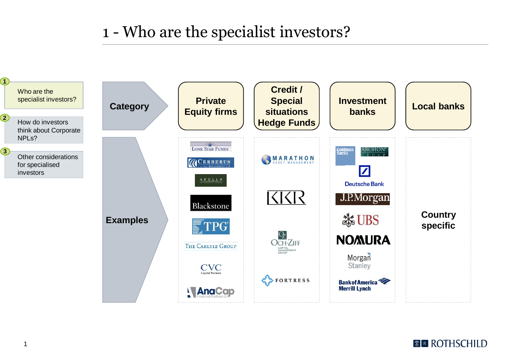### 1 - Who are the specialist investors?



#### *<b>ER ROTHSCHILD*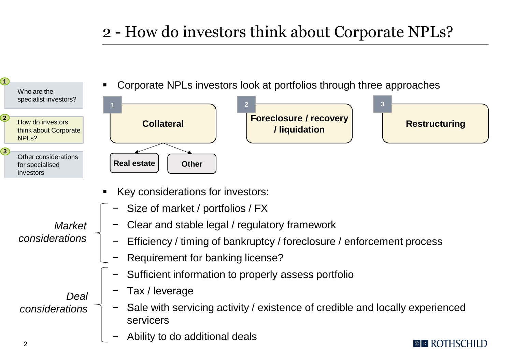# 2 - How do investors think about Corporate NPLs?